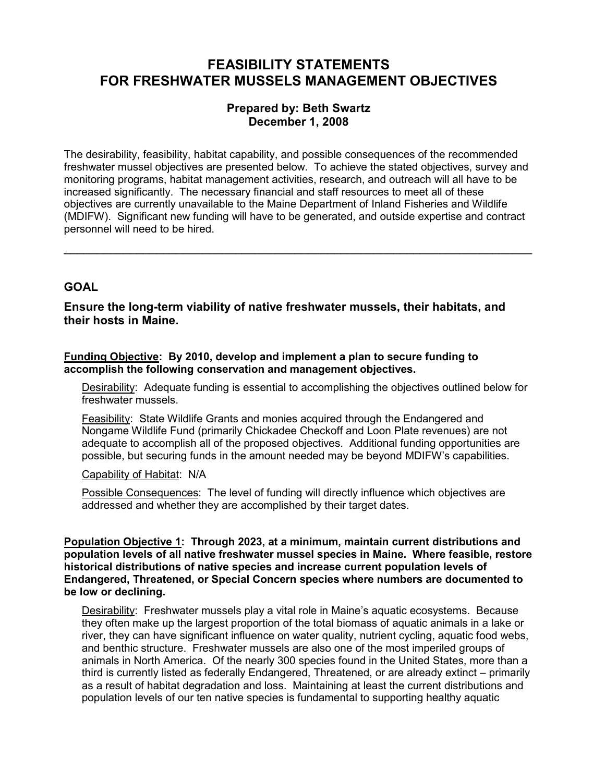# FEASIBILITY STATEMENTS FOR FRESHWATER MUSSELS MANAGEMENT OBJECTIVES

# Prepared by: Beth Swartz December 1, 2008

The desirability, feasibility, habitat capability, and possible consequences of the recommended freshwater mussel objectives are presented below. To achieve the stated objectives, survey and monitoring programs, habitat management activities, research, and outreach will all have to be increased significantly. The necessary financial and staff resources to meet all of these objectives are currently unavailable to the Maine Department of Inland Fisheries and Wildlife (MDIFW). Significant new funding will have to be generated, and outside expertise and contract personnel will need to be hired.

\_\_\_\_\_\_\_\_\_\_\_\_\_\_\_\_\_\_\_\_\_\_\_\_\_\_\_\_\_\_\_\_\_\_\_\_\_\_\_\_\_\_\_\_\_\_\_\_\_\_\_\_\_\_\_\_\_\_\_\_\_\_\_\_\_\_\_\_\_\_\_

# **GOAL**

Ensure the long-term viability of native freshwater mussels, their habitats, and their hosts in Maine.

Funding Objective: By 2010, develop and implement a plan to secure funding to accomplish the following conservation and management objectives.

 Desirability: Adequate funding is essential to accomplishing the objectives outlined below for freshwater mussels.

Feasibility: State Wildlife Grants and monies acquired through the Endangered and Nongame Wildlife Fund (primarily Chickadee Checkoff and Loon Plate revenues) are not adequate to accomplish all of the proposed objectives. Additional funding opportunities are possible, but securing funds in the amount needed may be beyond MDIFW's capabilities.

Capability of Habitat: N/A

Possible Consequences: The level of funding will directly influence which objectives are addressed and whether they are accomplished by their target dates.

Population Objective 1: Through 2023, at a minimum, maintain current distributions and population levels of all native freshwater mussel species in Maine. Where feasible, restore historical distributions of native species and increase current population levels of Endangered, Threatened, or Special Concern species where numbers are documented to be low or declining.

Desirability: Freshwater mussels play a vital role in Maine's aquatic ecosystems. Because they often make up the largest proportion of the total biomass of aquatic animals in a lake or river, they can have significant influence on water quality, nutrient cycling, aquatic food webs, and benthic structure. Freshwater mussels are also one of the most imperiled groups of animals in North America. Of the nearly 300 species found in the United States, more than a third is currently listed as federally Endangered, Threatened, or are already extinct – primarily as a result of habitat degradation and loss. Maintaining at least the current distributions and population levels of our ten native species is fundamental to supporting healthy aquatic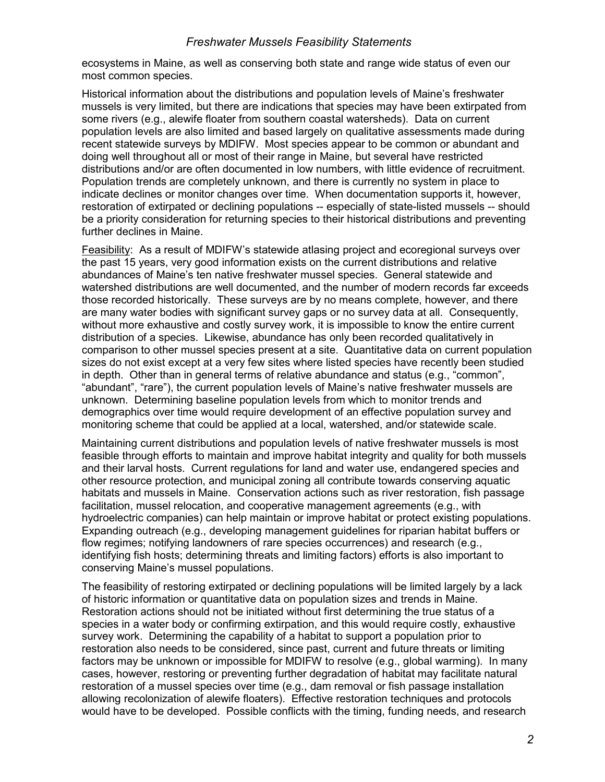ecosystems in Maine, as well as conserving both state and range wide status of even our most common species.

Historical information about the distributions and population levels of Maine's freshwater mussels is very limited, but there are indications that species may have been extirpated from some rivers (e.g., alewife floater from southern coastal watersheds). Data on current population levels are also limited and based largely on qualitative assessments made during recent statewide surveys by MDIFW. Most species appear to be common or abundant and doing well throughout all or most of their range in Maine, but several have restricted distributions and/or are often documented in low numbers, with little evidence of recruitment. Population trends are completely unknown, and there is currently no system in place to indicate declines or monitor changes over time. When documentation supports it, however, restoration of extirpated or declining populations -- especially of state-listed mussels -- should be a priority consideration for returning species to their historical distributions and preventing further declines in Maine.

Feasibility: As a result of MDIFW's statewide atlasing project and ecoregional surveys over the past 15 years, very good information exists on the current distributions and relative abundances of Maine's ten native freshwater mussel species. General statewide and watershed distributions are well documented, and the number of modern records far exceeds those recorded historically. These surveys are by no means complete, however, and there are many water bodies with significant survey gaps or no survey data at all. Consequently, without more exhaustive and costly survey work, it is impossible to know the entire current distribution of a species. Likewise, abundance has only been recorded qualitatively in comparison to other mussel species present at a site. Quantitative data on current population sizes do not exist except at a very few sites where listed species have recently been studied in depth. Other than in general terms of relative abundance and status (e.g., "common", "abundant", "rare"), the current population levels of Maine's native freshwater mussels are unknown. Determining baseline population levels from which to monitor trends and demographics over time would require development of an effective population survey and monitoring scheme that could be applied at a local, watershed, and/or statewide scale.

Maintaining current distributions and population levels of native freshwater mussels is most feasible through efforts to maintain and improve habitat integrity and quality for both mussels and their larval hosts. Current regulations for land and water use, endangered species and other resource protection, and municipal zoning all contribute towards conserving aquatic habitats and mussels in Maine. Conservation actions such as river restoration, fish passage facilitation, mussel relocation, and cooperative management agreements (e.g., with hydroelectric companies) can help maintain or improve habitat or protect existing populations. Expanding outreach (e.g., developing management guidelines for riparian habitat buffers or flow regimes; notifying landowners of rare species occurrences) and research (e.g., identifying fish hosts; determining threats and limiting factors) efforts is also important to conserving Maine's mussel populations.

The feasibility of restoring extirpated or declining populations will be limited largely by a lack of historic information or quantitative data on population sizes and trends in Maine. Restoration actions should not be initiated without first determining the true status of a species in a water body or confirming extirpation, and this would require costly, exhaustive survey work. Determining the capability of a habitat to support a population prior to restoration also needs to be considered, since past, current and future threats or limiting factors may be unknown or impossible for MDIFW to resolve (e.g., global warming). In many cases, however, restoring or preventing further degradation of habitat may facilitate natural restoration of a mussel species over time (e.g., dam removal or fish passage installation allowing recolonization of alewife floaters). Effective restoration techniques and protocols would have to be developed. Possible conflicts with the timing, funding needs, and research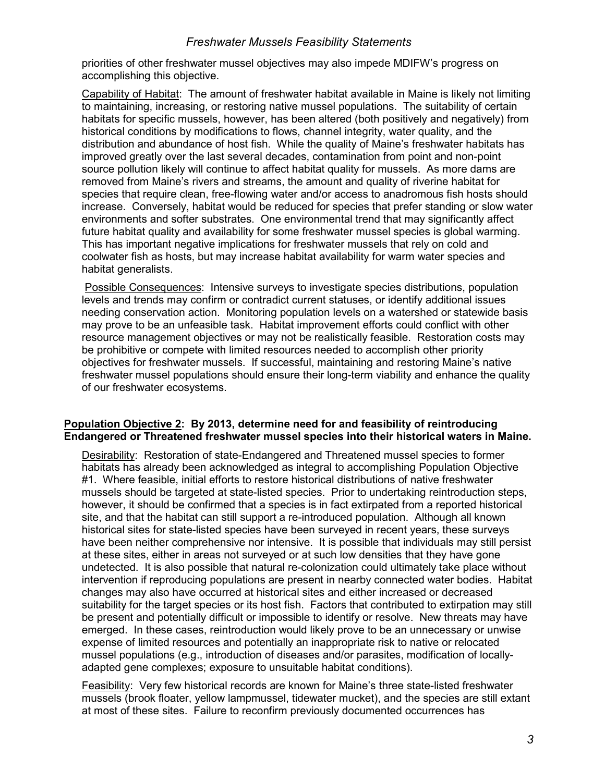priorities of other freshwater mussel objectives may also impede MDIFW's progress on accomplishing this objective.

Capability of Habitat: The amount of freshwater habitat available in Maine is likely not limiting to maintaining, increasing, or restoring native mussel populations. The suitability of certain habitats for specific mussels, however, has been altered (both positively and negatively) from historical conditions by modifications to flows, channel integrity, water quality, and the distribution and abundance of host fish. While the quality of Maine's freshwater habitats has improved greatly over the last several decades, contamination from point and non-point source pollution likely will continue to affect habitat quality for mussels. As more dams are removed from Maine's rivers and streams, the amount and quality of riverine habitat for species that require clean, free-flowing water and/or access to anadromous fish hosts should increase. Conversely, habitat would be reduced for species that prefer standing or slow water environments and softer substrates. One environmental trend that may significantly affect future habitat quality and availability for some freshwater mussel species is global warming. This has important negative implications for freshwater mussels that rely on cold and coolwater fish as hosts, but may increase habitat availability for warm water species and habitat generalists.

Possible Consequences: Intensive surveys to investigate species distributions, population levels and trends may confirm or contradict current statuses, or identify additional issues needing conservation action. Monitoring population levels on a watershed or statewide basis may prove to be an unfeasible task. Habitat improvement efforts could conflict with other resource management objectives or may not be realistically feasible. Restoration costs may be prohibitive or compete with limited resources needed to accomplish other priority objectives for freshwater mussels. If successful, maintaining and restoring Maine's native freshwater mussel populations should ensure their long-term viability and enhance the quality of our freshwater ecosystems.

#### Population Objective 2: By 2013, determine need for and feasibility of reintroducing Endangered or Threatened freshwater mussel species into their historical waters in Maine.

Desirability: Restoration of state-Endangered and Threatened mussel species to former habitats has already been acknowledged as integral to accomplishing Population Objective #1. Where feasible, initial efforts to restore historical distributions of native freshwater mussels should be targeted at state-listed species. Prior to undertaking reintroduction steps, however, it should be confirmed that a species is in fact extirpated from a reported historical site, and that the habitat can still support a re-introduced population. Although all known historical sites for state-listed species have been surveyed in recent years, these surveys have been neither comprehensive nor intensive. It is possible that individuals may still persist at these sites, either in areas not surveyed or at such low densities that they have gone undetected. It is also possible that natural re-colonization could ultimately take place without intervention if reproducing populations are present in nearby connected water bodies. Habitat changes may also have occurred at historical sites and either increased or decreased suitability for the target species or its host fish. Factors that contributed to extirpation may still be present and potentially difficult or impossible to identify or resolve. New threats may have emerged. In these cases, reintroduction would likely prove to be an unnecessary or unwise expense of limited resources and potentially an inappropriate risk to native or relocated mussel populations (e.g., introduction of diseases and/or parasites, modification of locallyadapted gene complexes; exposure to unsuitable habitat conditions).

Feasibility: Very few historical records are known for Maine's three state-listed freshwater mussels (brook floater, yellow lampmussel, tidewater mucket), and the species are still extant at most of these sites. Failure to reconfirm previously documented occurrences has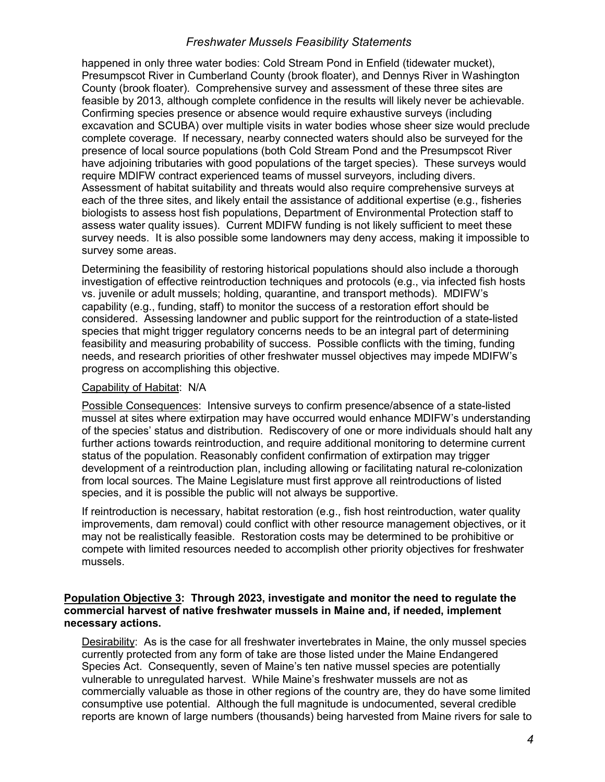happened in only three water bodies: Cold Stream Pond in Enfield (tidewater mucket), Presumpscot River in Cumberland County (brook floater), and Dennys River in Washington County (brook floater). Comprehensive survey and assessment of these three sites are feasible by 2013, although complete confidence in the results will likely never be achievable. Confirming species presence or absence would require exhaustive surveys (including excavation and SCUBA) over multiple visits in water bodies whose sheer size would preclude complete coverage. If necessary, nearby connected waters should also be surveyed for the presence of local source populations (both Cold Stream Pond and the Presumpscot River have adjoining tributaries with good populations of the target species). These surveys would require MDIFW contract experienced teams of mussel surveyors, including divers. Assessment of habitat suitability and threats would also require comprehensive surveys at each of the three sites, and likely entail the assistance of additional expertise (e.g., fisheries biologists to assess host fish populations, Department of Environmental Protection staff to assess water quality issues). Current MDIFW funding is not likely sufficient to meet these survey needs. It is also possible some landowners may deny access, making it impossible to survey some areas.

Determining the feasibility of restoring historical populations should also include a thorough investigation of effective reintroduction techniques and protocols (e.g., via infected fish hosts vs. juvenile or adult mussels; holding, quarantine, and transport methods). MDIFW's capability (e.g., funding, staff) to monitor the success of a restoration effort should be considered. Assessing landowner and public support for the reintroduction of a state-listed species that might trigger regulatory concerns needs to be an integral part of determining feasibility and measuring probability of success. Possible conflicts with the timing, funding needs, and research priorities of other freshwater mussel objectives may impede MDIFW's progress on accomplishing this objective.

### Capability of Habitat: N/A

Possible Consequences: Intensive surveys to confirm presence/absence of a state-listed mussel at sites where extirpation may have occurred would enhance MDIFW's understanding of the species' status and distribution. Rediscovery of one or more individuals should halt any further actions towards reintroduction, and require additional monitoring to determine current status of the population. Reasonably confident confirmation of extirpation may trigger development of a reintroduction plan, including allowing or facilitating natural re-colonization from local sources. The Maine Legislature must first approve all reintroductions of listed species, and it is possible the public will not always be supportive.

If reintroduction is necessary, habitat restoration (e.g., fish host reintroduction, water quality improvements, dam removal) could conflict with other resource management objectives, or it may not be realistically feasible. Restoration costs may be determined to be prohibitive or compete with limited resources needed to accomplish other priority objectives for freshwater mussels.

### Population Objective 3: Through 2023, investigate and monitor the need to regulate the commercial harvest of native freshwater mussels in Maine and, if needed, implement necessary actions.

Desirability: As is the case for all freshwater invertebrates in Maine, the only mussel species currently protected from any form of take are those listed under the Maine Endangered Species Act. Consequently, seven of Maine's ten native mussel species are potentially vulnerable to unregulated harvest. While Maine's freshwater mussels are not as commercially valuable as those in other regions of the country are, they do have some limited consumptive use potential. Although the full magnitude is undocumented, several credible reports are known of large numbers (thousands) being harvested from Maine rivers for sale to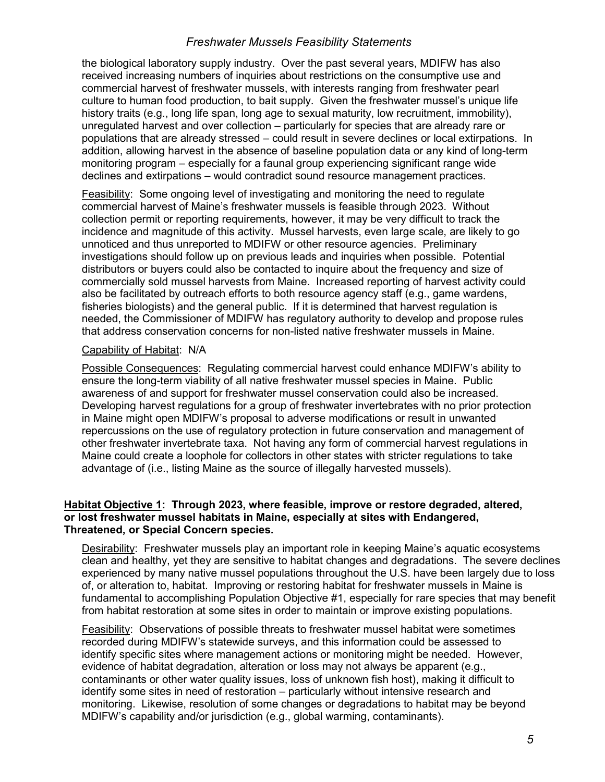the biological laboratory supply industry. Over the past several years, MDIFW has also received increasing numbers of inquiries about restrictions on the consumptive use and commercial harvest of freshwater mussels, with interests ranging from freshwater pearl culture to human food production, to bait supply. Given the freshwater mussel's unique life history traits (e.g., long life span, long age to sexual maturity, low recruitment, immobility), unregulated harvest and over collection – particularly for species that are already rare or populations that are already stressed – could result in severe declines or local extirpations. In addition, allowing harvest in the absence of baseline population data or any kind of long-term monitoring program – especially for a faunal group experiencing significant range wide declines and extirpations – would contradict sound resource management practices.

Feasibility: Some ongoing level of investigating and monitoring the need to regulate commercial harvest of Maine's freshwater mussels is feasible through 2023. Without collection permit or reporting requirements, however, it may be very difficult to track the incidence and magnitude of this activity. Mussel harvests, even large scale, are likely to go unnoticed and thus unreported to MDIFW or other resource agencies. Preliminary investigations should follow up on previous leads and inquiries when possible. Potential distributors or buyers could also be contacted to inquire about the frequency and size of commercially sold mussel harvests from Maine. Increased reporting of harvest activity could also be facilitated by outreach efforts to both resource agency staff (e.g., game wardens, fisheries biologists) and the general public. If it is determined that harvest regulation is needed, the Commissioner of MDIFW has regulatory authority to develop and propose rules that address conservation concerns for non-listed native freshwater mussels in Maine.

#### Capability of Habitat: N/A

Possible Consequences: Regulating commercial harvest could enhance MDIFW's ability to ensure the long-term viability of all native freshwater mussel species in Maine. Public awareness of and support for freshwater mussel conservation could also be increased. Developing harvest regulations for a group of freshwater invertebrates with no prior protection in Maine might open MDIFW's proposal to adverse modifications or result in unwanted repercussions on the use of regulatory protection in future conservation and management of other freshwater invertebrate taxa. Not having any form of commercial harvest regulations in Maine could create a loophole for collectors in other states with stricter regulations to take advantage of (i.e., listing Maine as the source of illegally harvested mussels).

#### Habitat Objective 1: Through 2023, where feasible, improve or restore degraded, altered, or lost freshwater mussel habitats in Maine, especially at sites with Endangered, Threatened, or Special Concern species.

Desirability: Freshwater mussels play an important role in keeping Maine's aquatic ecosystems clean and healthy, yet they are sensitive to habitat changes and degradations. The severe declines experienced by many native mussel populations throughout the U.S. have been largely due to loss of, or alteration to, habitat. Improving or restoring habitat for freshwater mussels in Maine is fundamental to accomplishing Population Objective #1, especially for rare species that may benefit from habitat restoration at some sites in order to maintain or improve existing populations.

Feasibility: Observations of possible threats to freshwater mussel habitat were sometimes recorded during MDIFW's statewide surveys, and this information could be assessed to identify specific sites where management actions or monitoring might be needed. However, evidence of habitat degradation, alteration or loss may not always be apparent (e.g., contaminants or other water quality issues, loss of unknown fish host), making it difficult to identify some sites in need of restoration – particularly without intensive research and monitoring. Likewise, resolution of some changes or degradations to habitat may be beyond MDIFW's capability and/or jurisdiction (e.g., global warming, contaminants).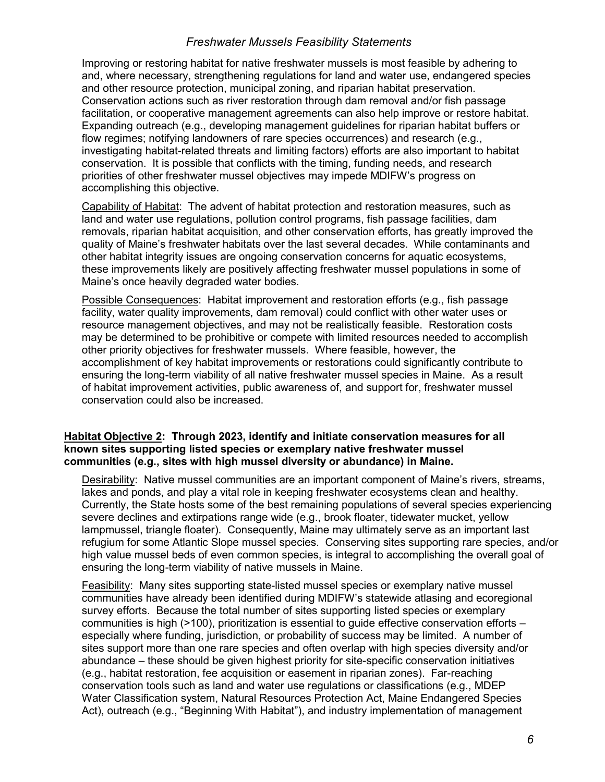Improving or restoring habitat for native freshwater mussels is most feasible by adhering to and, where necessary, strengthening regulations for land and water use, endangered species and other resource protection, municipal zoning, and riparian habitat preservation. Conservation actions such as river restoration through dam removal and/or fish passage facilitation, or cooperative management agreements can also help improve or restore habitat. Expanding outreach (e.g., developing management guidelines for riparian habitat buffers or flow regimes; notifying landowners of rare species occurrences) and research (e.g., investigating habitat-related threats and limiting factors) efforts are also important to habitat conservation. It is possible that conflicts with the timing, funding needs, and research priorities of other freshwater mussel objectives may impede MDIFW's progress on accomplishing this objective.

Capability of Habitat: The advent of habitat protection and restoration measures, such as land and water use regulations, pollution control programs, fish passage facilities, dam removals, riparian habitat acquisition, and other conservation efforts, has greatly improved the quality of Maine's freshwater habitats over the last several decades. While contaminants and other habitat integrity issues are ongoing conservation concerns for aquatic ecosystems, these improvements likely are positively affecting freshwater mussel populations in some of Maine's once heavily degraded water bodies.

Possible Consequences: Habitat improvement and restoration efforts (e.g., fish passage facility, water quality improvements, dam removal) could conflict with other water uses or resource management objectives, and may not be realistically feasible. Restoration costs may be determined to be prohibitive or compete with limited resources needed to accomplish other priority objectives for freshwater mussels. Where feasible, however, the accomplishment of key habitat improvements or restorations could significantly contribute to ensuring the long-term viability of all native freshwater mussel species in Maine. As a result of habitat improvement activities, public awareness of, and support for, freshwater mussel conservation could also be increased.

#### Habitat Objective 2: Through 2023, identify and initiate conservation measures for all known sites supporting listed species or exemplary native freshwater mussel communities (e.g., sites with high mussel diversity or abundance) in Maine.

Desirability: Native mussel communities are an important component of Maine's rivers, streams, lakes and ponds, and play a vital role in keeping freshwater ecosystems clean and healthy. Currently, the State hosts some of the best remaining populations of several species experiencing severe declines and extirpations range wide (e.g., brook floater, tidewater mucket, yellow lampmussel, triangle floater). Consequently, Maine may ultimately serve as an important last refugium for some Atlantic Slope mussel species. Conserving sites supporting rare species, and/or high value mussel beds of even common species, is integral to accomplishing the overall goal of ensuring the long-term viability of native mussels in Maine.

Feasibility: Many sites supporting state-listed mussel species or exemplary native mussel communities have already been identified during MDIFW's statewide atlasing and ecoregional survey efforts. Because the total number of sites supporting listed species or exemplary communities is high (>100), prioritization is essential to guide effective conservation efforts – especially where funding, jurisdiction, or probability of success may be limited. A number of sites support more than one rare species and often overlap with high species diversity and/or abundance – these should be given highest priority for site-specific conservation initiatives (e.g., habitat restoration, fee acquisition or easement in riparian zones). Far-reaching conservation tools such as land and water use regulations or classifications (e.g., MDEP Water Classification system, Natural Resources Protection Act, Maine Endangered Species Act), outreach (e.g., "Beginning With Habitat"), and industry implementation of management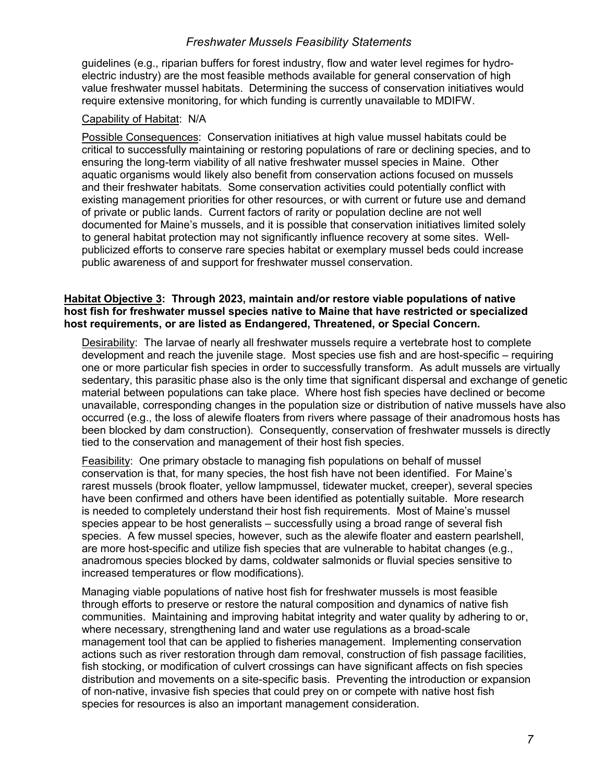guidelines (e.g., riparian buffers for forest industry, flow and water level regimes for hydroelectric industry) are the most feasible methods available for general conservation of high value freshwater mussel habitats. Determining the success of conservation initiatives would require extensive monitoring, for which funding is currently unavailable to MDIFW.

### Capability of Habitat: N/A

Possible Consequences: Conservation initiatives at high value mussel habitats could be critical to successfully maintaining or restoring populations of rare or declining species, and to ensuring the long-term viability of all native freshwater mussel species in Maine. Other aquatic organisms would likely also benefit from conservation actions focused on mussels and their freshwater habitats. Some conservation activities could potentially conflict with existing management priorities for other resources, or with current or future use and demand of private or public lands. Current factors of rarity or population decline are not well documented for Maine's mussels, and it is possible that conservation initiatives limited solely to general habitat protection may not significantly influence recovery at some sites. Wellpublicized efforts to conserve rare species habitat or exemplary mussel beds could increase public awareness of and support for freshwater mussel conservation.

### Habitat Objective 3: Through 2023, maintain and/or restore viable populations of native host fish for freshwater mussel species native to Maine that have restricted or specialized host requirements, or are listed as Endangered, Threatened, or Special Concern.

Desirability: The larvae of nearly all freshwater mussels require a vertebrate host to complete development and reach the juvenile stage. Most species use fish and are host-specific – requiring one or more particular fish species in order to successfully transform. As adult mussels are virtually sedentary, this parasitic phase also is the only time that significant dispersal and exchange of genetic material between populations can take place. Where host fish species have declined or become unavailable, corresponding changes in the population size or distribution of native mussels have also occurred (e.g., the loss of alewife floaters from rivers where passage of their anadromous hosts has been blocked by dam construction). Consequently, conservation of freshwater mussels is directly tied to the conservation and management of their host fish species.

Feasibility: One primary obstacle to managing fish populations on behalf of mussel conservation is that, for many species, the host fish have not been identified. For Maine's rarest mussels (brook floater, yellow lampmussel, tidewater mucket, creeper), several species have been confirmed and others have been identified as potentially suitable. More research is needed to completely understand their host fish requirements. Most of Maine's mussel species appear to be host generalists – successfully using a broad range of several fish species. A few mussel species, however, such as the alewife floater and eastern pearlshell, are more host-specific and utilize fish species that are vulnerable to habitat changes (e.g., anadromous species blocked by dams, coldwater salmonids or fluvial species sensitive to increased temperatures or flow modifications).

Managing viable populations of native host fish for freshwater mussels is most feasible through efforts to preserve or restore the natural composition and dynamics of native fish communities. Maintaining and improving habitat integrity and water quality by adhering to or, where necessary, strengthening land and water use regulations as a broad-scale management tool that can be applied to fisheries management. Implementing conservation actions such as river restoration through dam removal, construction of fish passage facilities, fish stocking, or modification of culvert crossings can have significant affects on fish species distribution and movements on a site-specific basis. Preventing the introduction or expansion of non-native, invasive fish species that could prey on or compete with native host fish species for resources is also an important management consideration.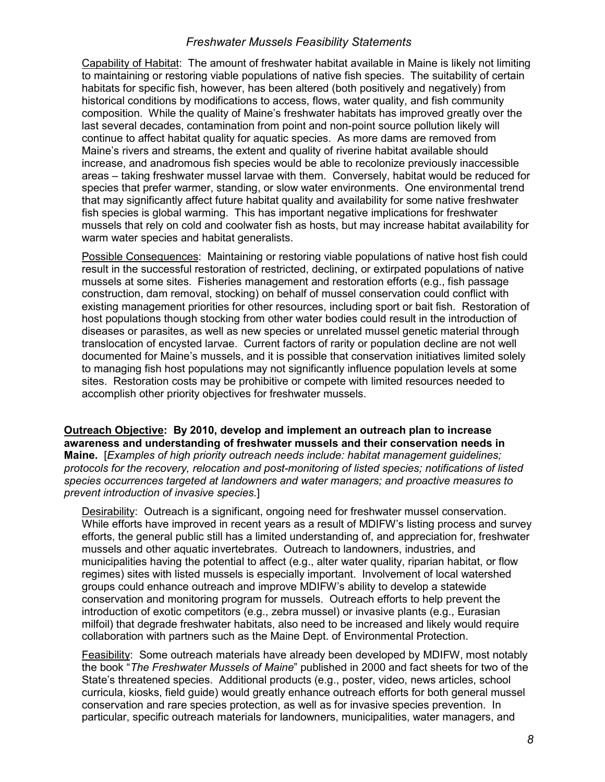Capability of Habitat: The amount of freshwater habitat available in Maine is likely not limiting to maintaining or restoring viable populations of native fish species. The suitability of certain habitats for specific fish, however, has been altered (both positively and negatively) from historical conditions by modifications to access, flows, water quality, and fish community composition. While the quality of Maine's freshwater habitats has improved greatly over the last several decades, contamination from point and non-point source pollution likely will continue to affect habitat quality for aquatic species. As more dams are removed from Maine's rivers and streams, the extent and quality of riverine habitat available should increase, and anadromous fish species would be able to recolonize previously inaccessible areas – taking freshwater mussel larvae with them. Conversely, habitat would be reduced for species that prefer warmer, standing, or slow water environments. One environmental trend that may significantly affect future habitat quality and availability for some native freshwater fish species is global warming. This has important negative implications for freshwater mussels that rely on cold and coolwater fish as hosts, but may increase habitat availability for warm water species and habitat generalists.

Possible Consequences: Maintaining or restoring viable populations of native host fish could result in the successful restoration of restricted, declining, or extirpated populations of native mussels at some sites. Fisheries management and restoration efforts (e.g., fish passage construction, dam removal, stocking) on behalf of mussel conservation could conflict with existing management priorities for other resources, including sport or bait fish. Restoration of host populations though stocking from other water bodies could result in the introduction of diseases or parasites, as well as new species or unrelated mussel genetic material through translocation of encysted larvae. Current factors of rarity or population decline are not well documented for Maine's mussels, and it is possible that conservation initiatives limited solely to managing fish host populations may not significantly influence population levels at some sites. Restoration costs may be prohibitive or compete with limited resources needed to accomplish other priority objectives for freshwater mussels.

Outreach Objective: By 2010, develop and implement an outreach plan to increase awareness and understanding of freshwater mussels and their conservation needs in Maine. [Examples of high priority outreach needs include: habitat management guidelines; protocols for the recovery, relocation and post-monitoring of listed species; notifications of listed species occurrences targeted at landowners and water managers; and proactive measures to prevent introduction of invasive species.]

Desirability: Outreach is a significant, ongoing need for freshwater mussel conservation. While efforts have improved in recent years as a result of MDIFW's listing process and survey efforts, the general public still has a limited understanding of, and appreciation for, freshwater mussels and other aquatic invertebrates. Outreach to landowners, industries, and municipalities having the potential to affect (e.g., alter water quality, riparian habitat, or flow regimes) sites with listed mussels is especially important. Involvement of local watershed groups could enhance outreach and improve MDIFW's ability to develop a statewide conservation and monitoring program for mussels. Outreach efforts to help prevent the introduction of exotic competitors (e.g., zebra mussel) or invasive plants (e.g., Eurasian milfoil) that degrade freshwater habitats, also need to be increased and likely would require collaboration with partners such as the Maine Dept. of Environmental Protection.

Feasibility: Some outreach materials have already been developed by MDIFW, most notably the book "The Freshwater Mussels of Maine" published in 2000 and fact sheets for two of the State's threatened species. Additional products (e.g., poster, video, news articles, school curricula, kiosks, field guide) would greatly enhance outreach efforts for both general mussel conservation and rare species protection, as well as for invasive species prevention. In particular, specific outreach materials for landowners, municipalities, water managers, and